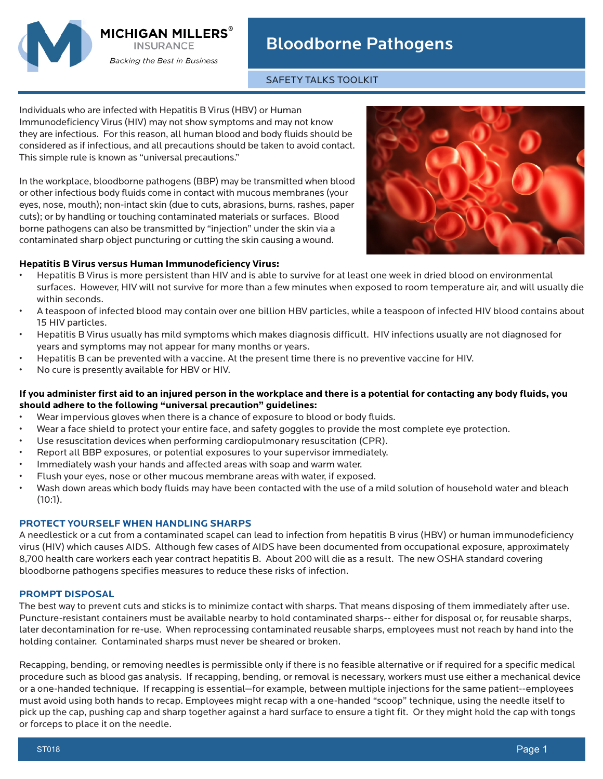

**MICHIGAN MILLERS INSURANCE Backing the Best in Business** 

# Bloodborne Pathogens

SAFETY TALKS TOOLKIT

Individuals who are infected with Hepatitis B Virus (HBV) or Human Immunodeficiency Virus (HIV) may not show symptoms and may not know they are infectious. For this reason, all human blood and body fluids should be considered as if infectious, and all precautions should be taken to avoid contact. This simple rule is known as "universal precautions."

In the workplace, bloodborne pathogens (BBP) may be transmitted when blood or other infectious body fluids come in contact with mucous membranes (your eyes, nose, mouth); non-intact skin (due to cuts, abrasions, burns, rashes, paper cuts); or by handling or touching contaminated materials or surfaces. Blood borne pathogens can also be transmitted by "injection" under the skin via a contaminated sharp object puncturing or cutting the skin causing a wound.



# **Hepatitis B Virus versus Human Immunodeficiency Virus:**

- Hepatitis B Virus is more persistent than HIV and is able to survive for at least one week in dried blood on environmental surfaces. However, HIV will not survive for more than a few minutes when exposed to room temperature air, and will usually die within seconds.
- A teaspoon of infected blood may contain over one billion HBV particles, while a teaspoon of infected HIV blood contains about 15 HIV particles.
- Hepatitis B Virus usually has mild symptoms which makes diagnosis difficult. HIV infections usually are not diagnosed for years and symptoms may not appear for many months or years.
- Hepatitis B can be prevented with a vaccine. At the present time there is no preventive vaccine for HIV.
- No cure is presently available for HBV or HIV.

# **If you administer first aid to an injured person in the workplace and there is a potential for contacting any body fluids, you should adhere to the following "universal precaution" guidelines:**

- Wear impervious gloves when there is a chance of exposure to blood or body fluids.
- Wear a face shield to protect your entire face, and safety goggles to provide the most complete eye protection.
- Use resuscitation devices when performing cardiopulmonary resuscitation (CPR).
- Report all BBP exposures, or potential exposures to your supervisor immediately.
- Immediately wash your hands and affected areas with soap and warm water.
- Flush your eyes, nose or other mucous membrane areas with water, if exposed.
- Wash down areas which body fluids may have been contacted with the use of a mild solution of household water and bleach (10:1).

## **PROTECT YOURSELF WHEN HANDLING SHARPS**

A needlestick or a cut from a contaminated scapel can lead to infection from hepatitis B virus (HBV) or human immunodeficiency virus (HIV) which causes AIDS. Although few cases of AIDS have been documented from occupational exposure, approximately 8,700 health care workers each year contract hepatitis B. About 200 will die as a result. The new OSHA standard covering bloodborne pathogens specifies measures to reduce these risks of infection.

## **PROMPT DISPOSAL**

The best way to prevent cuts and sticks is to minimize contact with sharps. That means disposing of them immediately after use. Puncture-resistant containers must be available nearby to hold contaminated sharps-- either for disposal or, for reusable sharps, later decontamination for re-use. When reprocessing contaminated reusable sharps, employees must not reach by hand into the holding container. Contaminated sharps must never be sheared or broken.

Recapping, bending, or removing needles is permissible only if there is no feasible alternative or if required for a specific medical procedure such as blood gas analysis. If recapping, bending, or removal is necessary, workers must use either a mechanical device or a one-handed technique. If recapping is essential—for example, between multiple injections for the same patient--employees must avoid using both hands to recap. Employees might recap with a one-handed "scoop" technique, using the needle itself to pick up the cap, pushing cap and sharp together against a hard surface to ensure a tight fit. Or they might hold the cap with tongs or forceps to place it on the needle.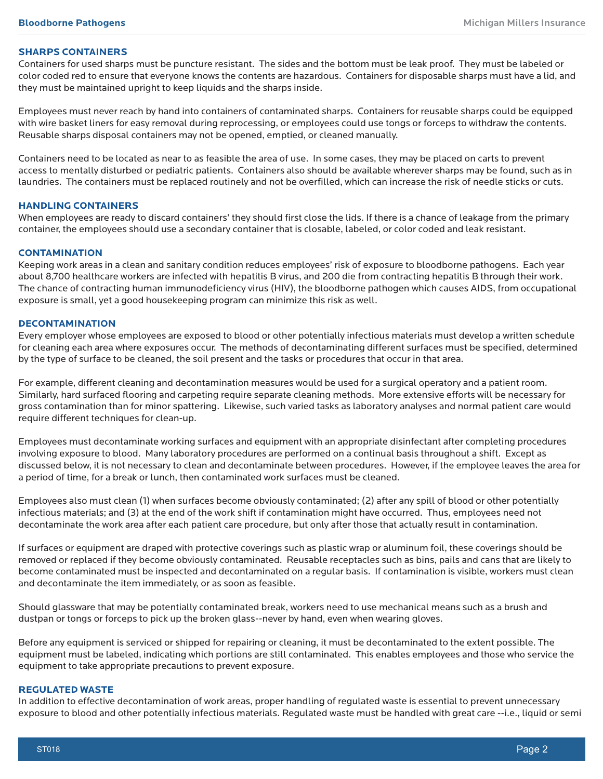## **SHARPS CONTAINERS**

Containers for used sharps must be puncture resistant. The sides and the bottom must be leak proof. They must be labeled or color coded red to ensure that everyone knows the contents are hazardous. Containers for disposable sharps must have a lid, and they must be maintained upright to keep liquids and the sharps inside.

Employees must never reach by hand into containers of contaminated sharps. Containers for reusable sharps could be equipped with wire basket liners for easy removal during reprocessing, or employees could use tongs or forceps to withdraw the contents. Reusable sharps disposal containers may not be opened, emptied, or cleaned manually.

Containers need to be located as near to as feasible the area of use. In some cases, they may be placed on carts to prevent access to mentally disturbed or pediatric patients. Containers also should be available wherever sharps may be found, such as in laundries. The containers must be replaced routinely and not be overfilled, which can increase the risk of needle sticks or cuts.

## **HANDLING CONTAINERS**

When employees are ready to discard containers' they should first close the lids. If there is a chance of leakage from the primary container, the employees should use a secondary container that is closable, labeled, or color coded and leak resistant.

## **CONTAMINATION**

Keeping work areas in a clean and sanitary condition reduces employees' risk of exposure to bloodborne pathogens. Each year about 8,700 healthcare workers are infected with hepatitis B virus, and 200 die from contracting hepatitis B through their work. The chance of contracting human immunodeficiency virus (HIV), the bloodborne pathogen which causes AIDS, from occupational exposure is small, yet a good housekeeping program can minimize this risk as well.

## **DECONTAMINATION**

Every employer whose employees are exposed to blood or other potentially infectious materials must develop a written schedule for cleaning each area where exposures occur. The methods of decontaminating different surfaces must be specified, determined by the type of surface to be cleaned, the soil present and the tasks or procedures that occur in that area.

For example, different cleaning and decontamination measures would be used for a surgical operatory and a patient room. Similarly, hard surfaced flooring and carpeting require separate cleaning methods. More extensive efforts will be necessary for gross contamination than for minor spattering. Likewise, such varied tasks as laboratory analyses and normal patient care would require different techniques for clean-up.

Employees must decontaminate working surfaces and equipment with an appropriate disinfectant after completing procedures involving exposure to blood. Many laboratory procedures are performed on a continual basis throughout a shift. Except as discussed below, it is not necessary to clean and decontaminate between procedures. However, if the employee leaves the area for a period of time, for a break or lunch, then contaminated work surfaces must be cleaned.

Employees also must clean (1) when surfaces become obviously contaminated; (2) after any spill of blood or other potentially infectious materials; and (3) at the end of the work shift if contamination might have occurred. Thus, employees need not decontaminate the work area after each patient care procedure, but only after those that actually result in contamination.

If surfaces or equipment are draped with protective coverings such as plastic wrap or aluminum foil, these coverings should be removed or replaced if they become obviously contaminated. Reusable receptacles such as bins, pails and cans that are likely to become contaminated must be inspected and decontaminated on a regular basis. If contamination is visible, workers must clean and decontaminate the item immediately, or as soon as feasible.

Should glassware that may be potentially contaminated break, workers need to use mechanical means such as a brush and dustpan or tongs or forceps to pick up the broken glass--never by hand, even when wearing gloves.

Before any equipment is serviced or shipped for repairing or cleaning, it must be decontaminated to the extent possible. The equipment must be labeled, indicating which portions are still contaminated. This enables employees and those who service the equipment to take appropriate precautions to prevent exposure.

## **REGULATED WASTE**

In addition to effective decontamination of work areas, proper handling of regulated waste is essential to prevent unnecessary exposure to blood and other potentially infectious materials. Regulated waste must be handled with great care --i.e., liquid or semi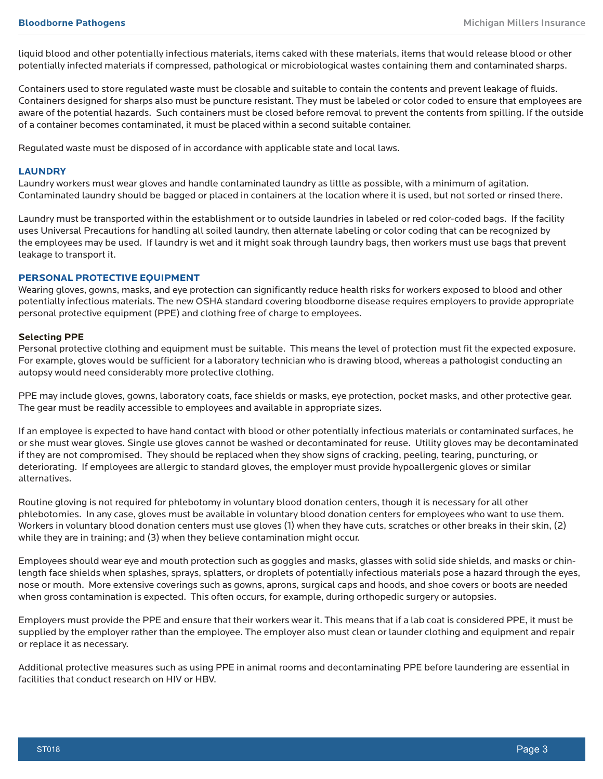liquid blood and other potentially infectious materials, items caked with these materials, items that would release blood or other potentially infected materials if compressed, pathological or microbiological wastes containing them and contaminated sharps.

Containers used to store regulated waste must be closable and suitable to contain the contents and prevent leakage of fluids. Containers designed for sharps also must be puncture resistant. They must be labeled or color coded to ensure that employees are aware of the potential hazards. Such containers must be closed before removal to prevent the contents from spilling. If the outside of a container becomes contaminated, it must be placed within a second suitable container.

Regulated waste must be disposed of in accordance with applicable state and local laws.

#### **LAUNDRY**

Laundry workers must wear gloves and handle contaminated laundry as little as possible, with a minimum of agitation. Contaminated laundry should be bagged or placed in containers at the location where it is used, but not sorted or rinsed there.

Laundry must be transported within the establishment or to outside laundries in labeled or red color-coded bags. If the facility uses Universal Precautions for handling all soiled laundry, then alternate labeling or color coding that can be recognized by the employees may be used. If laundry is wet and it might soak through laundry bags, then workers must use bags that prevent leakage to transport it.

#### **PERSONAL PROTECTIVE EQUIPMENT**

Wearing gloves, gowns, masks, and eye protection can significantly reduce health risks for workers exposed to blood and other potentially infectious materials. The new OSHA standard covering bloodborne disease requires employers to provide appropriate personal protective equipment (PPE) and clothing free of charge to employees.

#### **Selecting PPE**

Personal protective clothing and equipment must be suitable. This means the level of protection must fit the expected exposure. For example, gloves would be sufficient for a laboratory technician who is drawing blood, whereas a pathologist conducting an autopsy would need considerably more protective clothing.

PPE may include gloves, gowns, laboratory coats, face shields or masks, eye protection, pocket masks, and other protective gear. The gear must be readily accessible to employees and available in appropriate sizes.

If an employee is expected to have hand contact with blood or other potentially infectious materials or contaminated surfaces, he or she must wear gloves. Single use gloves cannot be washed or decontaminated for reuse. Utility gloves may be decontaminated if they are not compromised. They should be replaced when they show signs of cracking, peeling, tearing, puncturing, or deteriorating. If employees are allergic to standard gloves, the employer must provide hypoallergenic gloves or similar alternatives.

Routine gloving is not required for phlebotomy in voluntary blood donation centers, though it is necessary for all other phlebotomies. In any case, gloves must be available in voluntary blood donation centers for employees who want to use them. Workers in voluntary blood donation centers must use gloves (1) when they have cuts, scratches or other breaks in their skin, (2) while they are in training; and (3) when they believe contamination might occur.

Employees should wear eye and mouth protection such as goggles and masks, glasses with solid side shields, and masks or chinlength face shields when splashes, sprays, splatters, or droplets of potentially infectious materials pose a hazard through the eyes, nose or mouth. More extensive coverings such as gowns, aprons, surgical caps and hoods, and shoe covers or boots are needed when gross contamination is expected. This often occurs, for example, during orthopedic surgery or autopsies.

Employers must provide the PPE and ensure that their workers wear it. This means that if a lab coat is considered PPE, it must be supplied by the employer rather than the employee. The employer also must clean or launder clothing and equipment and repair or replace it as necessary.

Additional protective measures such as using PPE in animal rooms and decontaminating PPE before laundering are essential in facilities that conduct research on HIV or HBV.